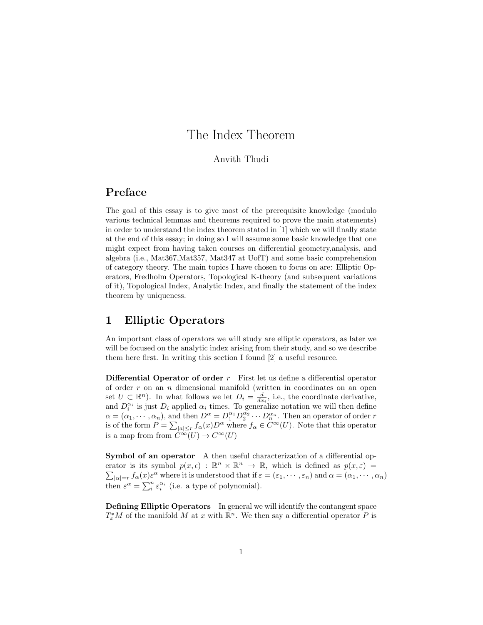# The Index Theorem

#### Anvith Thudi

### Preface

The goal of this essay is to give most of the prerequisite knowledge (modulo various technical lemmas and theorems required to prove the main statements) in order to understand the index theorem stated in [1] which we will finally state at the end of this essay; in doing so I will assume some basic knowledge that one might expect from having taken courses on differential geometry,analysis, and algebra (i.e., Mat367,Mat357, Mat347 at UofT) and some basic comprehension of category theory. The main topics I have chosen to focus on are: Elliptic Operators, Fredholm Operators, Topological K-theory (and subsequent variations of it), Topological Index, Analytic Index, and finally the statement of the index theorem by uniqueness.

### 1 Elliptic Operators

An important class of operators we will study are elliptic operators, as later we will be focused on the analytic index arising from their study, and so we describe them here first. In writing this section I found [2] a useful resource.

**Differential Operator of order**  $r$  First let us define a differential operator of order  $r$  on an  $n$  dimensional manifold (written in coordinates on an open set  $U \subset \mathbb{R}^n$ . In what follows we let  $D_i = \frac{d}{dx_i}$ , i.e., the coordinate derivative, and  $D_i^{\alpha_i}$  is just  $D_i$  applied  $\alpha_i$  times. To generalize notation we will then define  $\alpha = (\alpha_1, \cdots, \alpha_n)$ , and then  $D^{\alpha} = D_1^{\alpha_1} D_2^{\alpha_2} \cdots D_n^{\alpha_n}$ . Then an operator of order r is of the form  $P = \sum_{|a| \leq r} f_{\alpha}(x) D^{\alpha}$  where  $f_{\alpha} \in C^{\infty}(U)$ . Note that this operator is a map from from  $\ddot{C}^{\infty}(U) \to C^{\infty}(U)$ 

Symbol of an operator A then useful characterization of a differential operator is its symbol  $p(x, \epsilon) : \mathbb{R}^n \times \mathbb{R}^n \to \mathbb{R}$ , which is defined as  $p(x, \epsilon) =$  $\sum_{|\alpha|=r} f_{\alpha}(x) \varepsilon^{\alpha}$  where it is understood that if  $\varepsilon = (\varepsilon_1, \dots, \varepsilon_n)$  and  $\alpha = (\alpha_1, \dots, \alpha_n)$ then  $\varepsilon^{\alpha} = \sum_{i}^{n} \varepsilon_i^{\alpha_i}$  (i.e. a type of polynomial).

Defining Elliptic Operators In general we will identify the contangent space  $T_x^*M$  of the manifold M at x with  $\mathbb{R}^n$ . We then say a differential operator P is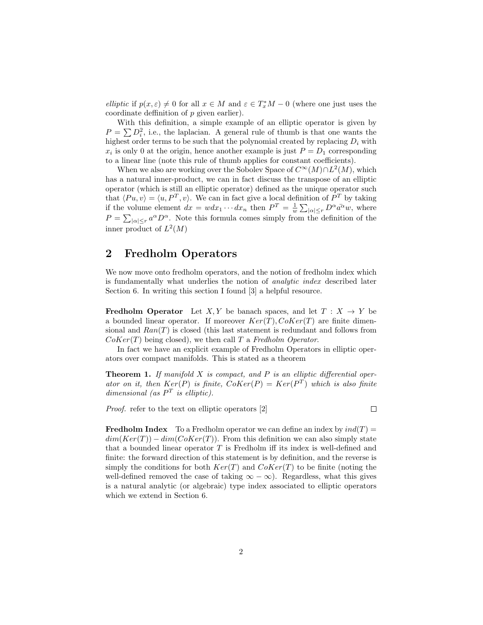elliptic if  $p(x,\varepsilon) \neq 0$  for all  $x \in M$  and  $\varepsilon \in T_x^*M - 0$  (where one just uses the coordinate deffinition of p given earlier).

With this definition, a simple example of an elliptic operator is given by  $P = \sum D_i^2$ , i.e., the laplacian. A general rule of thumb is that one wants the highest order terms to be such that the polynomial created by replacing  $D_i$  with  $x_i$  is only 0 at the origin, hence another example is just  $P = D_1$  corresponding to a linear line (note this rule of thumb applies for constant coefficients).

When we also are working over the Sobolev Space of  $C^{\infty}(M) \cap L^2(M)$ , which has a natural inner-product, we can in fact discuss the transpose of an elliptic operator (which is still an elliptic operator) defined as the unique operator such that  $\langle Pu, v \rangle = \langle u, P^T, v \rangle$ . We can in fact give a local definition of  $P^T$  by taking if the volume element  $dx = wdx_1 \cdots dx_n$  then  $P^T = \frac{1}{w} \sum_{|\alpha| \leq r} D^{\alpha} \bar{a^{\alpha}} w$ , where  $P = \sum_{|\alpha| \leq r} a^{\alpha} D^{\alpha}$ . Note this formula comes simply from the definition of the inner product of  $L^2(M)$ 

#### 2 Fredholm Operators

We now move onto fredholm operators, and the notion of fredholm index which is fundamentally what underlies the notion of analytic index described later Section 6. In writing this section I found [3] a helpful resource.

**Fredholm Operator** Let X, Y be banach spaces, and let  $T : X \rightarrow Y$  be a bounded linear operator. If moreover  $Ker(T), CoKer(T)$  are finite dimensional and  $Ran(T)$  is closed (this last statement is redundant and follows from  $Coker(T)$  being closed), we then call T a Fredholm Operator.

In fact we have an explicit example of Fredholm Operators in elliptic operators over compact manifolds. This is stated as a theorem

**Theorem 1.** If manifold  $X$  is compact, and  $P$  is an elliptic differential operator on it, then  $Ker(P)$  is finite,  $Coker(P) = Ker(P^T)$  which is also finite dimensional (as  $P<sup>T</sup>$  is elliptic).

Proof. refer to the text on elliptic operators [2]

 $\Box$ 

**Fredholm Index** To a Fredholm operator we can define an index by  $ind(T)$  =  $dim(Ker(T)) - dim(CoKer(T))$ . From this definition we can also simply state that a bounded linear operator  $T$  is Fredholm iff its index is well-defined and finite: the forward direction of this statement is by definition, and the reverse is simply the conditions for both  $Ker(T)$  and  $Coker(T)$  to be finite (noting the well-defined removed the case of taking  $\infty - \infty$ ). Regardless, what this gives is a natural analytic (or algebraic) type index associated to elliptic operators which we extend in Section 6.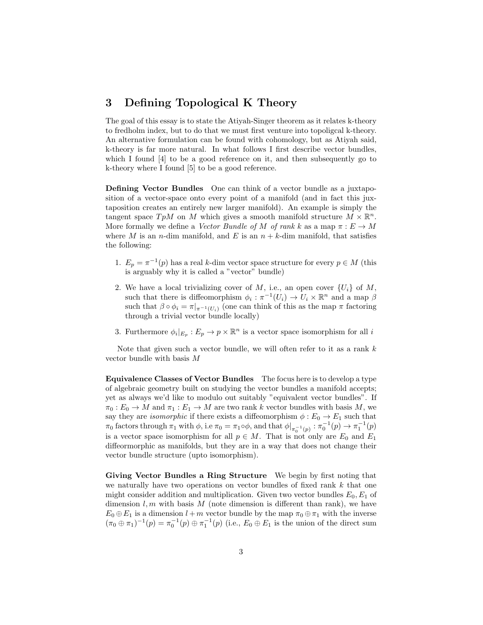### 3 Defining Topological K Theory

The goal of this essay is to state the Atiyah-Singer theorem as it relates k-theory to fredholm index, but to do that we must first venture into topoligcal k-theory. An alternative formulation can be found with cohomology, but as Atiyah said, k-theory is far more natural. In what follows I first describe vector bundles, which I found [4] to be a good reference on it, and then subsequently go to k-theory where I found [5] to be a good reference.

Defining Vector Bundles One can think of a vector bundle as a juxtaposition of a vector-space onto every point of a manifold (and in fact this juxtaposition creates an entirely new larger manifold). An example is simply the tangent space  $T pM$  on M which gives a smooth manifold structure  $M \times \mathbb{R}^n$ . More formally we define a Vector Bundle of M of rank k as a map  $\pi : E \to M$ where M is an *n*-dim manifold, and E is an  $n + k$ -dim manifold, that satisfies the following:

- 1.  $E_p = \pi^{-1}(p)$  has a real k-dim vector space structure for every  $p \in M$  (this is arguably why it is called a "vector" bundle)
- 2. We have a local trivializing cover of M, i.e., an open cover  $\{U_i\}$  of M, such that there is diffeomorphism  $\phi_i : \pi^{-1}(U_i) \to U_i \times \mathbb{R}^n$  and a map  $\beta$ such that  $\beta \circ \phi_i = \pi|_{\pi^{-1}(U_i)}$  (one can think of this as the map  $\pi$  factoring through a trivial vector bundle locally)
- 3. Furthermore  $\phi_i|_{E_p}: E_p \to p \times \mathbb{R}^n$  is a vector space isomorphism for all i

Note that given such a vector bundle, we will often refer to it as a rank  $k$ vector bundle with basis M

Equivalence Classes of Vector Bundles The focus here is to develop a type of algebraic geometry built on studying the vector bundles a manifold accepts; yet as always we'd like to modulo out suitably "equivalent vector bundles". If  $\pi_0 : E_0 \to M$  and  $\pi_1 : E_1 \to M$  are two rank k vector bundles with basis M, we say they are *isomorphic* if there exists a diffeomorphism  $\phi : E_0 \to E_1$  such that  $\pi_0$  factors through  $\pi_1$  with  $\phi$ , i.e  $\pi_0 = \pi_1 \circ \phi$ , and that  $\phi|_{\pi_0^{-1}(p)} : \pi_0^{-1}(p) \to \pi_1^{-1}(p)$ is a vector space isomorphism for all  $p \in M$ . That is not only are  $E_0$  and  $E_1$ diffeormorphic as manifolds, but they are in a way that does not change their vector bundle structure (upto isomorphism).

Giving Vector Bundles a Ring Structure We begin by first noting that we naturally have two operations on vector bundles of fixed rank  $k$  that one might consider addition and multiplication. Given two vector bundles  $E_0, E_1$  of dimension  $l, m$  with basis  $M$  (note dimension is different than rank), we have  $E_0 \oplus E_1$  is a dimension  $l + m$  vector bundle by the map  $\pi_0 \oplus \pi_1$  with the inverse  $(\pi_0 \oplus \pi_1)^{-1}(p) = \pi_0^{-1}(p) \oplus \pi_1^{-1}(p)$  (i.e.,  $E_0 \oplus E_1$  is the union of the direct sum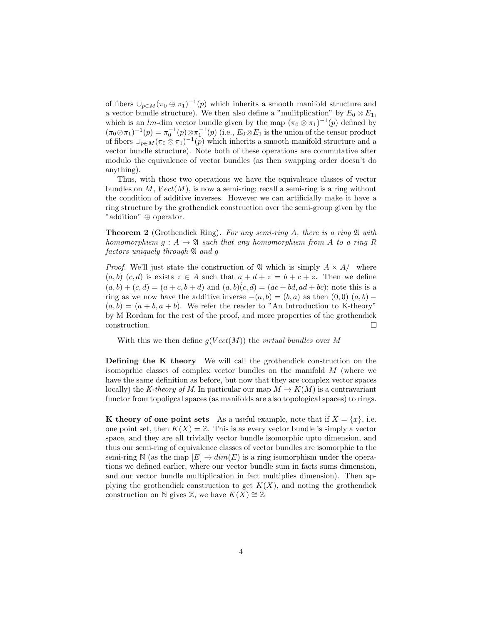of fibers  $\cup_{p\in M} (\pi_0 \oplus \pi_1)^{-1}(p)$  which inherits a smooth manifold structure and a vector bundle structure). We then also define a "mulitplication" by  $E_0 \otimes E_1$ , which is an lm-dim vector bundle given by the map  $(\pi_0 \otimes \pi_1)^{-1}(p)$  defined by  $(\pi_0 \otimes \pi_1)^{-1}(p) = \pi_0^{-1}(p) \otimes \pi_1^{-1}(p)$  (i.e.,  $E_0 \otimes E_1$  is the union of the tensor product of fibers  $\bigcup_{p \in M} (\pi_0 \otimes \pi_1)^{-1}(p)$  which inherits a smooth manifold structure and a vector bundle structure). Note both of these operations are commutative after modulo the equivalence of vector bundles (as then swapping order doesn't do anything).

Thus, with those two operations we have the equivalence classes of vector bundles on M,  $Vect(M)$ , is now a semi-ring; recall a semi-ring is a ring without the condition of additive inverses. However we can artificially make it have a ring structure by the grothendick construction over the semi-group given by the "addition" ⊕ operator.

**Theorem 2** (Grothendick Ring). For any semi-ring A, there is a ring  $\mathfrak A$  with homomorphism  $g : A \to \mathfrak{A}$  such that any homomorphism from A to a ring R factors uniquely through  $\mathfrak A$  and g

*Proof.* We'll just state the construction of  $\mathfrak A$  which is simply  $A \times A$  where  $(a, b)$   $(c, d)$  is exists  $z \in A$  such that  $a + d + z = b + c + z$ . Then we define  $(a, b) + (c, d) = (a + c, b + d)$  and  $(a, b)(c, d) = (ac + bd, ad + bc)$ ; note this is a ring as we now have the additive inverse  $-(a, b) = (b, a)$  as then  $(0, 0)$   $(a, b)$  −  $(a, b) = (a + b, a + b)$ . We refer the reader to "An Introduction to K-theory" by M Rordam for the rest of the proof, and more properties of the grothendick construction.  $\Box$ 

With this we then define  $q(Vect(M))$  the *virtual bundles* over M

Defining the K theory We will call the grothendick construction on the isomoprhic classes of complex vector bundles on the manifold M (where we have the same definition as before, but now that they are complex vector spaces locally) the K-theory of M. In particular our map  $M \to K(M)$  is a contravariant functor from topoligcal spaces (as manifolds are also topological spaces) to rings.

K theory of one point sets As a useful example, note that if  $X = \{x\}$ , i.e. one point set, then  $K(X) = \mathbb{Z}$ . This is as every vector bundle is simply a vector space, and they are all trivially vector bundle isomorphic upto dimension, and thus our semi-ring of equivalence classes of vector bundles are isomorphic to the semi-ring N (as the map  $[E] \rightarrow dim(E)$  is a ring isomorphism under the operations we defined earlier, where our vector bundle sum in facts sums dimension, and our vector bundle multiplication in fact multiplies dimension). Then applying the grothendick construction to get  $K(X)$ , and noting the grothendick construction on N gives  $\mathbb{Z}$ , we have  $K(X) \cong \mathbb{Z}$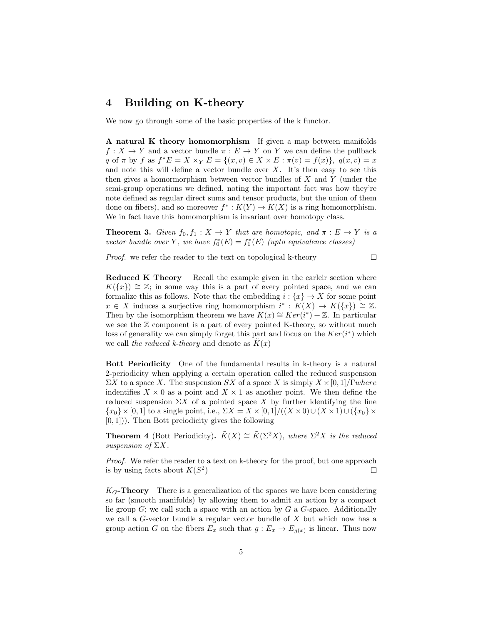#### 4 Building on K-theory

We now go through some of the basic properties of the k functor.

A natural K theory homomorphism If given a map between manifolds  $f: X \to Y$  and a vector bundle  $\pi: E \to Y$  on Y we can define the pullback q of  $\pi$  by  $f$  as  $f^*E = X \times_Y E = \{(x, v) \in X \times E : \pi(v) = f(x)\}, q(x, v) = x$ and note this will define a vector bundle over  $X$ . It's then easy to see this then gives a homormorphism between vector bundles of  $X$  and  $Y$  (under the semi-group operations we defined, noting the important fact was how they're note defined as regular direct sums and tensor products, but the union of them done on fibers), and so moreover  $f^*: K(Y) \to K(X)$  is a ring homomorphism. We in fact have this homomorphism is invariant over homotopy class.

**Theorem 3.** Given  $f_0, f_1 : X \to Y$  that are homotopic, and  $\pi : E \to Y$  is a vector bundle over Y, we have  $f_0^*(E) = f_1^*(E)$  (upto equivalence classes)

 $\Box$ 

Proof. we refer the reader to the text on topological k-theory

Reduced K Theory Recall the example given in the earleir section where  $K({x}) \cong \mathbb{Z}$ ; in some way this is a part of every pointed space, and we can formalize this as follows. Note that the embedding  $i: \{x\} \to X$  for some point  $x \in X$  induces a surjective ring homomorphism  $i^* : K(X) \to K({x}) \cong \mathbb{Z}$ . Then by the isomorphism theorem we have  $K(x) \cong Ker(i^*) + \mathbb{Z}$ . In particular we see the  $\mathbb Z$  component is a part of every pointed K-theory, so without much loss of generality we can simply forget this part and focus on the  $Ker(i^*)$  which we call the reduced k-theory and denote as  $K(x)$ 

Bott Periodicity One of the fundamental results in k-theory is a natural 2-periodicity when applying a certain operation called the reduced suspension  $\Sigma X$  to a space X. The suspension SX of a space X is simply  $X \times [0, 1]$ /Γwhere indentifies  $X \times 0$  as a point and  $X \times 1$  as another point. We then define the reduced suspension  $\Sigma X$  of a pointed space X by further identifying the line  ${x_0} \times [0, 1]$  to a single point, i.e.,  $\Sigma X = X \times [0, 1]/((X \times 0) \cup (X \times 1) \cup (\{x_0\} \times$  $[0, 1]$ ). Then Bott preiodicity gives the following

**Theorem 4** (Bott Periodicity).  $\tilde{K}(X) \cong \tilde{K}(\Sigma^2 X)$ , where  $\Sigma^2 X$  is the reduced suspension of  $\Sigma X$ .

Proof. We refer the reader to a text on k-theory for the proof, but one approach is by using facts about  $K(S^2)$  $\Box$ 

 $K_G$ -Theory There is a generalization of the spaces we have been considering so far (smooth manifolds) by allowing them to admit an action by a compact lie group  $G$ ; we call such a space with an action by  $G$  a  $G$ -space. Additionally we call a  $G$ -vector bundle a regular vector bundle of  $X$  but which now has a group action G on the fibers  $E_x$  such that  $g: E_x \to E_{g(x)}$  is linear. Thus now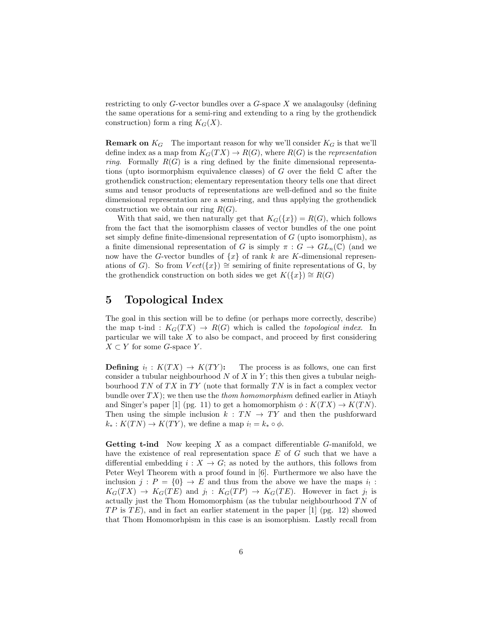restricting to only  $G$ -vector bundles over a  $G$ -space X we analagoulsy (defining the same operations for a semi-ring and extending to a ring by the grothendick construction) form a ring  $K_G(X)$ .

**Remark on**  $K_G$  The important reason for why we'll consider  $K_G$  is that we'll define index as a map from  $K_G(TX) \to R(G)$ , where  $R(G)$  is the *representation ring.* Formally  $R(G)$  is a ring defined by the finite dimensional representations (upto isormorphism equivalence classes) of G over the field  $\mathbb C$  after the grothendick construction; elementary representation theory tells one that direct sums and tensor products of representations are well-defined and so the finite dimensional representation are a semi-ring, and thus applying the grothendick construction we obtain our ring  $R(G)$ .

With that said, we then naturally get that  $K_G({x}) = R(G)$ , which follows from the fact that the isomorphism classes of vector bundles of the one point set simply define finite-dimensional representation of G (upto isomorphism), as a finite dimensional representation of G is simply  $\pi: G \to GL_n(\mathbb{C})$  (and we now have the G-vector bundles of  $\{x\}$  of rank k are K-dimensional represenations of G). So from  $Vect({x}) \cong$  semiring of finite representations of G, by the grothendick construction on both sides we get  $K({x}) \cong R(G)$ 

#### 5 Topological Index

The goal in this section will be to define (or perhaps more correctly, describe) the map t-ind :  $K_G(TX) \to R(G)$  which is called the *topological index*. In particular we will take  $X$  to also be compact, and proceed by first considering  $X \subset Y$  for some G-space Y.

Defining  $i_! : K(TX) \to K(TY)$ : The process is as follows, one can first consider a tubular neighbourhood  $N$  of  $X$  in  $Y$ ; this then gives a tubular neighbourhood  $TN$  of  $TX$  in  $TY$  (note that formally  $TN$  is in fact a complex vector bundle over  $TX$ ); we then use the *thom homomorphism* defined earlier in Atiayh and Singer's paper [1] (pg. 11) to get a homomorphism  $\phi: K(TX) \to K(TN)$ . Then using the simple inclusion  $k : TN \rightarrow TY$  and then the pushforward  $k_* : K(TN) \to K(TY)$ , we define a map  $i_! = k_* \circ \phi$ .

**Getting t-ind** Now keeping  $X$  as a compact differentiable  $G$ -manifold, we have the existence of real representation space E of G such that we have a differential embedding  $i : X \to G$ ; as noted by the authors, this follows from Peter Weyl Theorem with a proof found in [6]. Furthermore we also have the inclusion  $j: P = \{0\} \to E$  and thus from the above we have the maps  $i_!$ :  $K_G(TX) \to K_G(TE)$  and  $j_! : K_G(TP) \to K_G(TE)$ . However in fact  $j_!$  is actually just the Thom Homomorphism (as the tubular neighbourhood  $TN$  of  $TP$  is  $TE$ ), and in fact an earlier statement in the paper [1] (pg. 12) showed that Thom Homomorhpism in this case is an isomorphism. Lastly recall from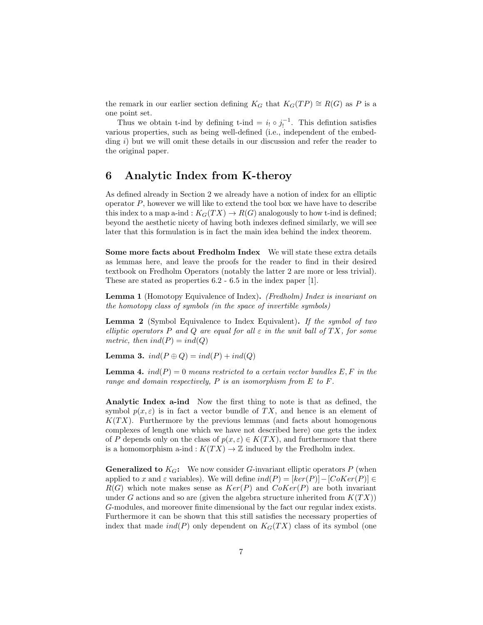the remark in our earlier section defining  $K_G$  that  $K_G(TP) \cong R(G)$  as P is a one point set.

Thus we obtain t-ind by defining t-ind =  $i_! \circ j_!^{-1}$ . This defintion satisfies various properties, such as being well-defined (i.e., independent of the embedding i) but we will omit these details in our discussion and refer the reader to the original paper.

#### 6 Analytic Index from K-theroy

As defined already in Section 2 we already have a notion of index for an elliptic operator  $P$ , however we will like to extend the tool box we have have to describe this index to a map a-ind :  $K_G(TX) \to R(G)$  analogously to how t-ind is defined; beyond the aesthetic nicety of having both indexes defined similarly, we will see later that this formulation is in fact the main idea behind the index theorem.

Some more facts about Fredholm Index We will state these extra details as lemmas here, and leave the proofs for the reader to find in their desired textbook on Fredholm Operators (notably the latter 2 are more or less trivial). These are stated as properties 6.2 - 6.5 in the index paper [1].

Lemma 1 (Homotopy Equivalence of Index). (Fredholm) Index is invariant on the homotopy class of symbols (in the space of invertible symbols)

Lemma 2 (Symbol Equivalence to Index Equivalent). If the symbol of two elliptic operators P and Q are equal for all  $\varepsilon$  in the unit ball of TX, for some metric, then  $ind(P) = ind(Q)$ 

Lemma 3.  $ind(P \oplus Q) = ind(P) + ind(Q)$ 

**Lemma 4.**  $ind(P) = 0$  means restricted to a certain vector bundles E, F in the range and domain respectively,  $P$  is an isomorphism from  $E$  to  $F$ .

Analytic Index a-ind Now the first thing to note is that as defined, the symbol  $p(x, \varepsilon)$  is in fact a vector bundle of TX, and hence is an element of  $K(TX)$ . Furthermore by the previous lemmas (and facts about homogenous complexes of length one which we have not described here) one gets the index of P depends only on the class of  $p(x, \varepsilon) \in K(TX)$ , and furthermore that there is a homomorphism a-ind :  $K(TX) \to \mathbb{Z}$  induced by the Fredholm index.

**Generalized to**  $K_G$ : We now consider G-invariant elliptic operators P (when applied to x and  $\varepsilon$  variables). We will define  $ind(P) = [ker(P)] - [Coker(P)] \in$  $R(G)$  which note makes sense as  $Ker(P)$  and  $Coker(P)$  are both invariant under G actions and so are (given the algebra structure inherited from  $K(TX)$ ) G-modules, and moreover finite dimensional by the fact our regular index exists. Furthermore it can be shown that this still satisfies the necessary properties of index that made  $ind(P)$  only dependent on  $K_G(TX)$  class of its symbol (one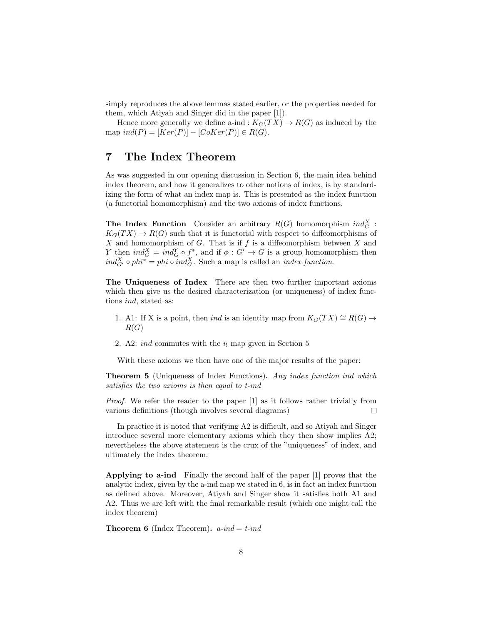simply reproduces the above lemmas stated earlier, or the properties needed for them, which Atiyah and Singer did in the paper [1]).

Hence more generally we define a-ind :  $K_G(TX) \to R(G)$  as induced by the map  $ind(P) = [Ker(P)] - [CoKer(P)] \in R(G)$ .

#### 7 The Index Theorem

As was suggested in our opening discussion in Section 6, the main idea behind index theorem, and how it generalizes to other notions of index, is by standardizing the form of what an index map is. This is presented as the index function (a functorial homomorphism) and the two axioms of index functions.

**The Index Function** Consider an arbitrary  $R(G)$  homomorphism  $ind_G^X$ :  $K_G(TX) \to R(G)$  such that it is functorial with respect to diffeomorphisms of  $X$  and homomorphism of  $G$ . That is if  $f$  is a diffeomorphism between  $X$  and Y then  $ind_G^X = ind_G^Y \circ f^*$ , and if  $\phi : G' \to G$  is a group homomorphism then  $ind_{G'}^X \circ phi^* = phi \circ ind_G^X$ . Such a map is called an *index function*.

The Uniqueness of Index There are then two further important axioms which then give us the desired characterization (or uniqueness) of index functions ind, stated as:

- 1. A1: If X is a point, then *ind* is an identity map from  $K_G(TX) \cong R(G) \rightarrow$  $R(G)$
- 2. A2: *ind* commutes with the  $i_1$  map given in Section 5

With these axioms we then have one of the major results of the paper:

**Theorem 5** (Uniqueness of Index Functions). Any index function ind which satisfies the two axioms is then equal to t-ind

Proof. We refer the reader to the paper [1] as it follows rather trivially from various definitions (though involves several diagrams)  $\Box$ 

In practice it is noted that verifying A2 is difficult, and so Atiyah and Singer introduce several more elementary axioms which they then show implies A2; nevertheless the above statement is the crux of the "uniqueness" of index, and ultimately the index theorem.

Applying to a-ind Finally the second half of the paper [1] proves that the analytic index, given by the a-ind map we stated in 6, is in fact an index function as defined above. Moreover, Atiyah and Singer show it satisfies both A1 and A2. Thus we are left with the final remarkable result (which one might call the index theorem)

**Theorem 6** (Index Theorem).  $a$ -ind  $=$  t-ind